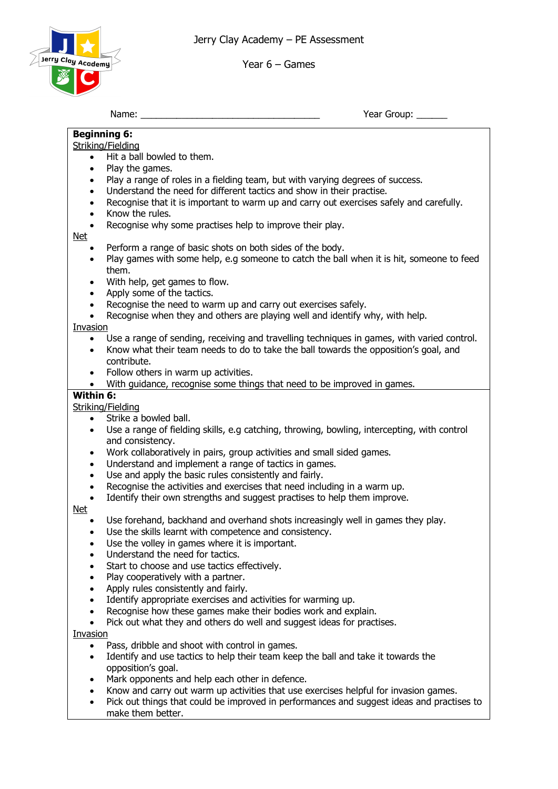Jerry Clay Academy – PE Assessment



Year 6 – Games

Year Group: \_\_\_\_\_\_

## **Beginning 6:** Striking/Fielding • Hit a ball bowled to them. Play the games. Play a range of roles in a fielding team, but with varying degrees of success. Understand the need for different tactics and show in their practise. • Recognise that it is important to warm up and carry out exercises safely and carefully. • Know the rules. Recognise why some practises help to improve their play. Net • Perform a range of basic shots on both sides of the body. • Play games with some help, e.g someone to catch the ball when it is hit, someone to feed them. With help, get games to flow. • Apply some of the tactics. Recognise the need to warm up and carry out exercises safely. • Recognise when they and others are playing well and identify why, with help. Invasion • Use a range of sending, receiving and travelling techniques in games, with varied control. • Know what their team needs to do to take the ball towards the opposition's goal, and contribute. • Follow others in warm up activities. • With quidance, recognise some things that need to be improved in games. **Within 6:** Striking/Fielding • Strike a bowled ball. • Use a range of fielding skills, e.g catching, throwing, bowling, intercepting, with control and consistency. • Work collaboratively in pairs, group activities and small sided games. • Understand and implement a range of tactics in games. Use and apply the basic rules consistently and fairly. • Recognise the activities and exercises that need including in a warm up. Identify their own strengths and suggest practises to help them improve. Net • Use forehand, backhand and overhand shots increasingly well in games they play. Use the skills learnt with competence and consistency. Use the volley in games where it is important.

- Understand the need for tactics.
- Start to choose and use tactics effectively.
- Play cooperatively with a partner.
- Apply rules consistently and fairly.
- Identify appropriate exercises and activities for warming up.
- Recognise how these games make their bodies work and explain.
- Pick out what they and others do well and suggest ideas for practises.

Invasion

- Pass, dribble and shoot with control in games.
- Identify and use tactics to help their team keep the ball and take it towards the opposition's goal.
- Mark opponents and help each other in defence.
- Know and carry out warm up activities that use exercises helpful for invasion games.
- Pick out things that could be improved in performances and suggest ideas and practises to make them better.